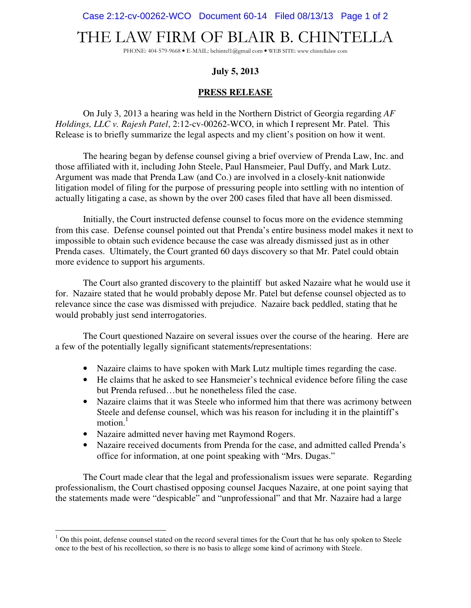Case 2:12-cv-00262-WCO Document 60-14 Filed 08/13/13 Page 1 of 2

## THE LAW FIRM OF BLAIR B. CHINTELLA

PHONE: 404-579-9668 • E-MAIL: bchintel1@gmail com • WEB SITE: www chintellalaw com

## **July 5, 2013**

## **PRESS RELEASE**

On July 3, 2013 a hearing was held in the Northern District of Georgia regarding *AF Holdings, LLC v. Rajesh Patel*, 2:12-cv-00262-WCO, in which I represent Mr. Patel. This Release is to briefly summarize the legal aspects and my client's position on how it went.

The hearing began by defense counsel giving a brief overview of Prenda Law, Inc. and those affiliated with it, including John Steele, Paul Hansmeier, Paul Duffy, and Mark Lutz. Argument was made that Prenda Law (and Co.) are involved in a closely-knit nationwide litigation model of filing for the purpose of pressuring people into settling with no intention of actually litigating a case, as shown by the over 200 cases filed that have all been dismissed.

Initially, the Court instructed defense counsel to focus more on the evidence stemming from this case. Defense counsel pointed out that Prenda's entire business model makes it next to impossible to obtain such evidence because the case was already dismissed just as in other Prenda cases. Ultimately, the Court granted 60 days discovery so that Mr. Patel could obtain more evidence to support his arguments.

The Court also granted discovery to the plaintiff but asked Nazaire what he would use it for. Nazaire stated that he would probably depose Mr. Patel but defense counsel objected as to relevance since the case was dismissed with prejudice. Nazaire back peddled, stating that he would probably just send interrogatories.

The Court questioned Nazaire on several issues over the course of the hearing. Here are a few of the potentially legally significant statements/representations:

- Nazaire claims to have spoken with Mark Lutz multiple times regarding the case.
- He claims that he asked to see Hansmeier's technical evidence before filing the case but Prenda refused…but he nonetheless filed the case.
- Nazaire claims that it was Steele who informed him that there was acrimony between Steele and defense counsel, which was his reason for including it in the plaintiff's motion $1$
- Nazaire admitted never having met Raymond Rogers.

 $\overline{a}$ 

• Nazaire received documents from Prenda for the case, and admitted called Prenda's office for information, at one point speaking with "Mrs. Dugas."

The Court made clear that the legal and professionalism issues were separate. Regarding professionalism, the Court chastised opposing counsel Jacques Nazaire, at one point saying that the statements made were "despicable" and "unprofessional" and that Mr. Nazaire had a large

 $1$  On this point, defense counsel stated on the record several times for the Court that he has only spoken to Steele once to the best of his recollection, so there is no basis to allege some kind of acrimony with Steele.